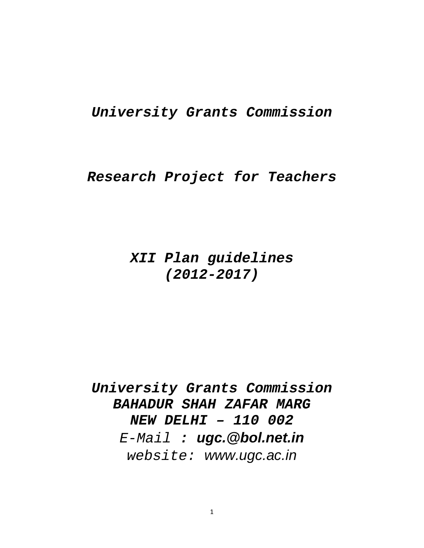# *University Grants Commission*

# *Research Project for Teachers*

# *XII Plan guidelines (2012-2017)*

*University Grants Commission BAHADUR SHAH ZAFAR MARG NEW DELHI – 110 002 E-Mail : ugc.@bol.net.in website: www.ugc.ac.in*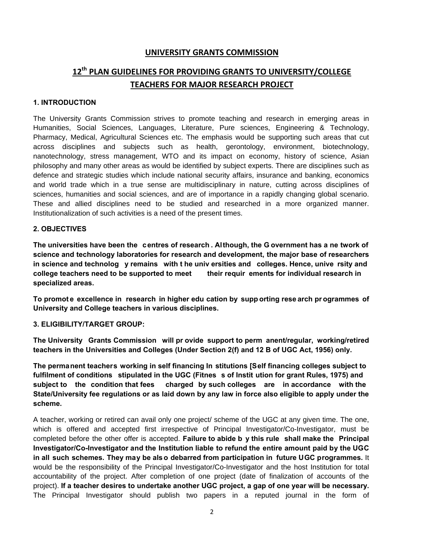## **UNIVERSITY GRANTS COMMISSION**

## **12th PLAN GUIDELINES FOR PROVIDING GRANTS TO UNIVERSITY/COLLEGE TEACHERS FOR MAJOR RESEARCH PROJECT**

#### **1. INTRODUCTION**

The University Grants Commission strives to promote teaching and research in emerging areas in Humanities, Social Sciences, Languages, Literature, Pure sciences, Engineering & Technology, Pharmacy, Medical, Agricultural Sciences etc. The emphasis would be supporting such areas that cut across disciplines and subjects such as health, gerontology, environment, biotechnology, nanotechnology, stress management, WTO and its impact on economy, history of science, Asian philosophy and many other areas as would be identified by subject experts. There are disciplines such as defence and strategic studies which include national security affairs, insurance and banking, economics and world trade which in a true sense are multidisciplinary in nature, cutting across disciplines of sciences, humanities and social sciences, and are of importance in a rapidly changing global scenario. These and allied disciplines need to be studied and researched in a more organized manner. Institutionalization of such activities is a need of the present times.

#### **2. OBJECTIVES**

**The universities have been the centres of research . Although, the G overnment has a ne twork of science and technology laboratories for research and development, the major base of researchers in science and technolog y remains with t he univ ersities and colleges. Hence, unive rsity and college teachers need to be supported to meet their requir ements for individual research in specialized areas.** 

**To promot e excellence in research in higher edu cation by supp orting rese arch pr ogrammes of University and College teachers in various disciplines.** 

#### **3. ELIGIBILITY/TARGET GROUP:**

**The University Grants Commission will pr ovide support to perm anent/regular, working/retired teachers in the Universities and Colleges (Under Section 2(f) and 12 B of UGC Act, 1956) only.** 

**The permanent teachers working in self financing In stitutions [Self financing colleges subject to fulfilment of conditions stipulated in the UGC (Fitnes s of Instit ution for grant Rules, 1975) and subject to the condition that fees charged by such colleges are in accordance with the State/University fee regulations or as laid down by any law in force also eligible to apply under the scheme.** 

A teacher, working or retired can avail only one project/ scheme of the UGC at any given time. The one, which is offered and accepted first irrespective of Principal Investigator/Co-Investigator, must be completed before the other offer is accepted. **Failure to abide b y this rule shall make the Principal Investigator/Co-Investigator and the Institution liable to refund the entire amount paid by the UGC in all such schemes. They may be also debarred from participation in future UGC programmes.** It would be the responsibility of the Principal Investigator/Co-Investigator and the host Institution for total accountability of the project. After completion of one project (date of finalization of accounts of the project). **If a teacher desires to undertake another UGC project, a gap of one year will be necessary.** The Principal Investigator should publish two papers in a reputed journal in the form of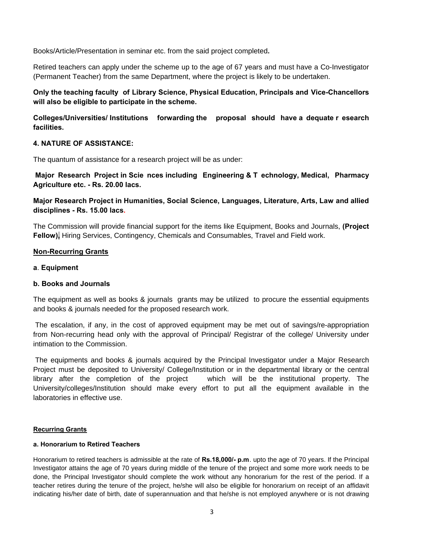Books/Article/Presentation in seminar etc. from the said project completed**.**

Retired teachers can apply under the scheme up to the age of 67 years and must have a Co-Investigator (Permanent Teacher) from the same Department, where the project is likely to be undertaken.

## **Only the teaching faculty of Library Science, Physical Education, Principals and Vice-Chancellors will also be eligible to participate in the scheme.**

**Colleges/Universities/ Institutions forwarding the proposal should have a dequate r esearch facilities.** 

#### **4. NATURE OF ASSISTANCE:**

The quantum of assistance for a research project will be as under:

**Major Research Project in Scie nces including Engineering & T echnology, Medical, Pharmacy Agriculture etc. - Rs. 20.00 lacs.** 

**Major Research Project in Humanities, Social Science, Languages, Literature, Arts, Law and allied disciplines - Rs. 15.00 lacs.**

The Commission will provide financial support for the items like Equipment, Books and Journals, **(Project Fellow),** Hiring Services, Contingency, Chemicals and Consumables, Travel and Field work.

#### **Non-Recurring Grants**

#### **a**. **Equipment**

#### **b. Books and Journals**

The equipment as well as books & journals grants may be utilized to procure the essential equipments and books & journals needed for the proposed research work.

 The escalation, if any, in the cost of approved equipment may be met out of savings/re-appropriation from Non-recurring head only with the approval of Principal/ Registrar of the college/ University under intimation to the Commission.

 The equipments and books & journals acquired by the Principal Investigator under a Major Research Project must be deposited to University/ College/Institution or in the departmental library or the central library after the completion of the project which will be the institutional property. The University/colleges/Institution should make every effort to put all the equipment available in the laboratories in effective use.

#### **Recurring Grants**

#### **a. Honorarium to Retired Teachers**

Honorarium to retired teachers is admissible at the rate of **Rs.18,000/- p.m**. upto the age of 70 years. If the Principal Investigator attains the age of 70 years during middle of the tenure of the project and some more work needs to be done, the Principal Investigator should complete the work without any honorarium for the rest of the period. If a teacher retires during the tenure of the project, he/she will also be eligible for honorarium on receipt of an affidavit indicating his/her date of birth, date of superannuation and that he/she is not employed anywhere or is not drawing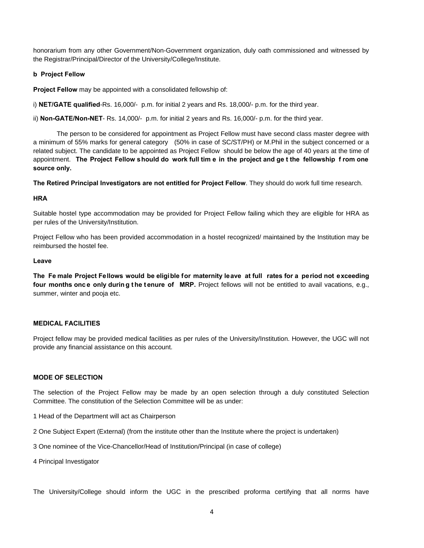honorarium from any other Government/Non-Government organization, duly oath commissioned and witnessed by the Registrar/Principal/Director of the University/College/Institute.

#### **b Project Fellow**

**Project Fellow** may be appointed with a consolidated fellowship of:

i) **NET/GATE qualified**-Rs. 16,000/- p.m. for initial 2 years and Rs. 18,000/- p.m. for the third year.

ii) **Non-GATE/Non-NET**- Rs. 14,000/- p.m. for initial 2 years and Rs. 16,000/- p.m. for the third year.

 The person to be considered for appointment as Project Fellow must have second class master degree with a minimum of 55% marks for general category (50% in case of SC/ST/PH) or M.Phil in the subject concerned or a related subject. The candidate to be appointed as Project Fellow should be below the age of 40 years at the time of appointment. **The Project Fellow should do work full tim e in the project and ge t the fellowship f rom one source only.** 

**The Retired Principal Investigators are not entitled for Project Fellow**. They should do work full time research.

#### **HRA**

Suitable hostel type accommodation may be provided for Project Fellow failing which they are eligible for HRA as per rules of the University/Institution.

Project Fellow who has been provided accommodation in a hostel recognized/ maintained by the Institution may be reimbursed the hostel fee.

#### **Leave**

**The Fe male Project Fellows would be eligible for maternity leave at full rates for a period not exceeding four months onc e only durin g t he t enure of MRP.** Project fellows will not be entitled to avail vacations, e.g., summer, winter and pooja etc.

#### **MEDICAL FACILITIES**

Project fellow may be provided medical facilities as per rules of the University/Institution. However, the UGC will not provide any financial assistance on this account.

#### **MODE OF SELECTION**

The selection of the Project Fellow may be made by an open selection through a duly constituted Selection Committee. The constitution of the Selection Committee will be as under:

1 Head of the Department will act as Chairperson

2 One Subject Expert (External) (from the institute other than the Institute where the project is undertaken)

3 One nominee of the Vice-Chancellor/Head of Institution/Principal (in case of college)

4 Principal Investigator

The University/College should inform the UGC in the prescribed proforma certifying that all norms have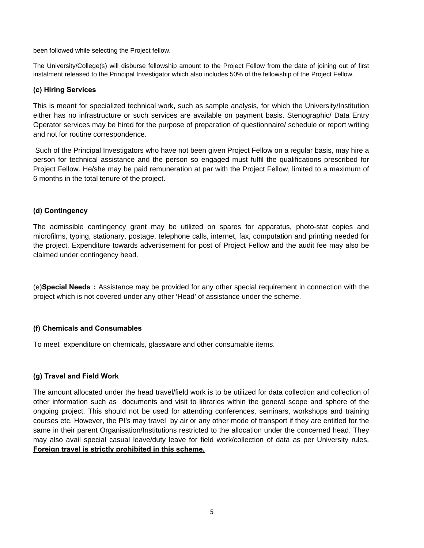been followed while selecting the Project fellow.

The University/College(s) will disburse fellowship amount to the Project Fellow from the date of joining out of first instalment released to the Principal Investigator which also includes 50% of the fellowship of the Project Fellow.

#### **(c) Hiring Services**

This is meant for specialized technical work, such as sample analysis, for which the University/Institution either has no infrastructure or such services are available on payment basis. Stenographic/ Data Entry Operator services may be hired for the purpose of preparation of questionnaire/ schedule or report writing and not for routine correspondence.

 Such of the Principal Investigators who have not been given Project Fellow on a regular basis, may hire a person for technical assistance and the person so engaged must fulfil the qualifications prescribed for Project Fellow. He/she may be paid remuneration at par with the Project Fellow, limited to a maximum of 6 months in the total tenure of the project.

#### **(d) Contingency**

The admissible contingency grant may be utilized on spares for apparatus, photo-stat copies and microfilms, typing, stationary, postage, telephone calls, internet, fax, computation and printing needed for the project. Expenditure towards advertisement for post of Project Fellow and the audit fee may also be claimed under contingency head.

(e)**Special Needs :** Assistance may be provided for any other special requirement in connection with the project which is not covered under any other 'Head' of assistance under the scheme.

## **(f) Chemicals and Consumables**

To meet expenditure on chemicals, glassware and other consumable items.

## **(g) Travel and Field Work**

The amount allocated under the head travel/field work is to be utilized for data collection and collection of other information such as documents and visit to libraries within the general scope and sphere of the ongoing project. This should not be used for attending conferences, seminars, workshops and training courses etc. However, the PI's may travel by air or any other mode of transport if they are entitled for the same in their parent Organisation/Institutions restricted to the allocation under the concerned head. They may also avail special casual leave/duty leave for field work/collection of data as per University rules. **Foreign travel is strictly prohibited in this scheme.**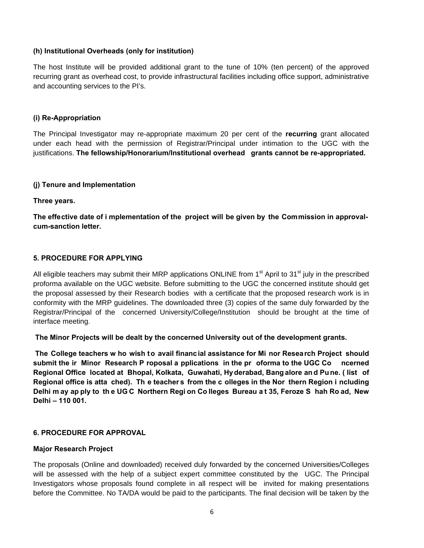#### **(h) Institutional Overheads (only for institution)**

The host Institute will be provided additional grant to the tune of 10% (ten percent) of the approved recurring grant as overhead cost, to provide infrastructural facilities including office support, administrative and accounting services to the PI's.

#### **(i) Re-Appropriation**

The Principal Investigator may re-appropriate maximum 20 per cent of the **recurring** grant allocated under each head with the permission of Registrar/Principal under intimation to the UGC with the justifications. **The fellowship/Honorarium/Institutional overhead grants cannot be re-appropriated.** 

#### **(j) Tenure and Implementation**

#### **Three years.**

**The effective date of i mplementation of the project will be given by the Commission in approvalcum-sanction letter.** 

#### **5. PROCEDURE FOR APPLYING**

All eligible teachers may submit their MRP applications ONLINE from  $1<sup>st</sup>$  April to  $31<sup>st</sup>$  july in the prescribed proforma available on the UGC website. Before submitting to the UGC the concerned institute should get the proposal assessed by their Research bodies with a certificate that the proposed research work is in conformity with the MRP guidelines. The downloaded three (3) copies of the same duly forwarded by the Registrar/Principal of the concerned University/College/Institution should be brought at the time of interface meeting.

**The Minor Projects will be dealt by the concerned University out of the development grants.** 

 **The College teachers w ho wish to avail financial assistance for Mi nor Research Project should submit the ir Minor Research P roposal a pplications in the pr oforma to the UGC Co ncerned Regional Office located at Bhopal, Kolkata, Guwahati, Hyderabad, Bang alore an d Pu ne. ( list of Regional office is atta ched). Th e teacher s from the c olleges in the Nor thern Region i ncluding Delhi m ay ap ply to th e UG C Northern Regi on Co lleges Bureau a t 35, Feroze S hah Ro ad, New Delhi – 110 001.** 

#### **6. PROCEDURE FOR APPROVAL**

#### **Major Research Project**

The proposals (Online and downloaded) received duly forwarded by the concerned Universities/Colleges will be assessed with the help of a subject expert committee constituted by the UGC. The Principal Investigators whose proposals found complete in all respect will be invited for making presentations before the Committee. No TA/DA would be paid to the participants. The final decision will be taken by the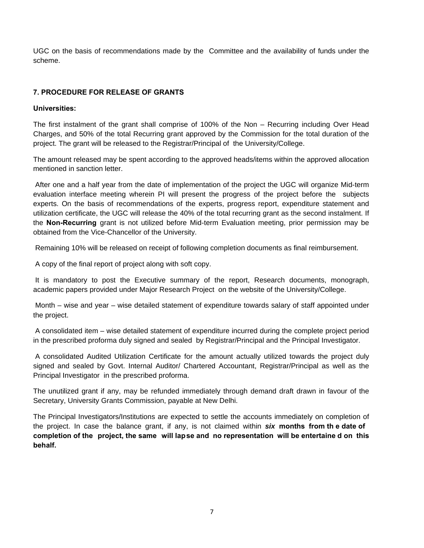UGC on the basis of recommendations made by the Committee and the availability of funds under the scheme.

## **7. PROCEDURE FOR RELEASE OF GRANTS**

#### **Universities:**

The first instalment of the grant shall comprise of 100% of the Non – Recurring including Over Head Charges, and 50% of the total Recurring grant approved by the Commission for the total duration of the project. The grant will be released to the Registrar/Principal of the University/College.

The amount released may be spent according to the approved heads/items within the approved allocation mentioned in sanction letter.

 After one and a half year from the date of implementation of the project the UGC will organize Mid-term evaluation interface meeting wherein PI will present the progress of the project before the subjects experts. On the basis of recommendations of the experts, progress report, expenditure statement and utilization certificate, the UGC will release the 40% of the total recurring grant as the second instalment. If the **Non-Recurring** grant is not utilized before Mid-term Evaluation meeting, prior permission may be obtained from the Vice-Chancellor of the University.

Remaining 10% will be released on receipt of following completion documents as final reimbursement.

A copy of the final report of project along with soft copy.

 It is mandatory to post the Executive summary of the report, Research documents, monograph, academic papers provided under Major Research Project on the website of the University/College.

 Month – wise and year – wise detailed statement of expenditure towards salary of staff appointed under the project.

 A consolidated item – wise detailed statement of expenditure incurred during the complete project period in the prescribed proforma duly signed and sealed by Registrar/Principal and the Principal Investigator.

 A consolidated Audited Utilization Certificate for the amount actually utilized towards the project duly signed and sealed by Govt. Internal Auditor/ Chartered Accountant, Registrar/Principal as well as the Principal Investigator in the prescribed proforma.

The unutilized grant if any, may be refunded immediately through demand draft drawn in favour of the Secretary, University Grants Commission, payable at New Delhi.

The Principal Investigators/Institutions are expected to settle the accounts immediately on completion of the project. In case the balance grant, if any, is not claimed within *six* **months from th e date of completion of the project, the same will lapse and no representation will be entertaine d on this behalf.**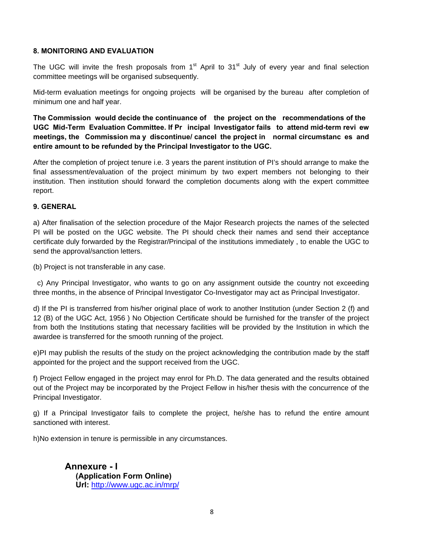#### **8. MONITORING AND EVALUATION**

The UGC will invite the fresh proposals from  $1<sup>st</sup>$  April to  $31<sup>st</sup>$  July of every year and final selection committee meetings will be organised subsequently.

Mid-term evaluation meetings for ongoing projects will be organised by the bureau after completion of minimum one and half year.

**The Commission would decide the continuance of the project on the recommendations of the UGC Mid-Term Evaluation Committee. If Pr incipal Investigator fails to attend mid-term revi ew meetings, the Commission ma y discontinue/ cancel the project in normal circumstanc es and entire amount to be refunded by the Principal Investigator to the UGC.** 

After the completion of project tenure i.e. 3 years the parent institution of PI's should arrange to make the final assessment/evaluation of the project minimum by two expert members not belonging to their institution. Then institution should forward the completion documents along with the expert committee report.

#### **9. GENERAL**

a) After finalisation of the selection procedure of the Major Research projects the names of the selected PI will be posted on the UGC website. The PI should check their names and send their acceptance certificate duly forwarded by the Registrar/Principal of the institutions immediately , to enable the UGC to send the approval/sanction letters.

(b) Project is not transferable in any case.

 c) Any Principal Investigator, who wants to go on any assignment outside the country not exceeding three months, in the absence of Principal Investigator Co-Investigator may act as Principal Investigator.

d) If the PI is transferred from his/her original place of work to another Institution (under Section 2 (f) and 12 (B) of the UGC Act, 1956 ) No Objection Certificate should be furnished for the transfer of the project from both the Institutions stating that necessary facilities will be provided by the Institution in which the awardee is transferred for the smooth running of the project.

e)PI may publish the results of the study on the project acknowledging the contribution made by the staff appointed for the project and the support received from the UGC.

f) Project Fellow engaged in the project may enrol for Ph.D. The data generated and the results obtained out of the Project may be incorporated by the Project Fellow in his/her thesis with the concurrence of the Principal Investigator.

g) If a Principal Investigator fails to complete the project, he/she has to refund the entire amount sanctioned with interest.

h)No extension in tenure is permissible in any circumstances.

**Annexure - I (Application Form Online) Url:** http://www.ugc.ac.in/mrp/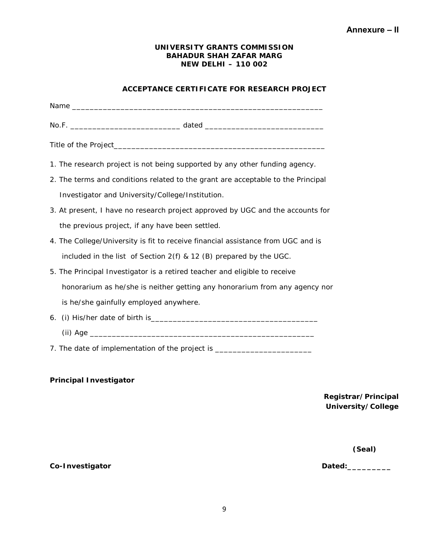## **ACCEPTANCE CERTIFICATE FOR RESEARCH PROJECT**

| 1. The research project is not being supported by any other funding agency.      |
|----------------------------------------------------------------------------------|
| 2. The terms and conditions related to the grant are acceptable to the Principal |
| Investigator and University/College/Institution.                                 |
| 3. At present, I have no research project approved by UGC and the accounts for   |
| the previous project, if any have been settled.                                  |
| 4. The College/University is fit to receive financial assistance from UGC and is |
| included in the list of Section 2(f) & 12 (B) prepared by the UGC.               |
| 5. The Principal Investigator is a retired teacher and eligible to receive       |
| honorarium as he/she is neither getting any honorarium from any agency nor       |
| is he/she gainfully employed anywhere.                                           |
|                                                                                  |
|                                                                                  |
| 7. The date of implementation of the project is ________________________________ |

## **Principal Investigator**

**Registrar/Principal University/College**

 **(Seal)**

Co-Investigator **Co-Investigator Co-Investigator**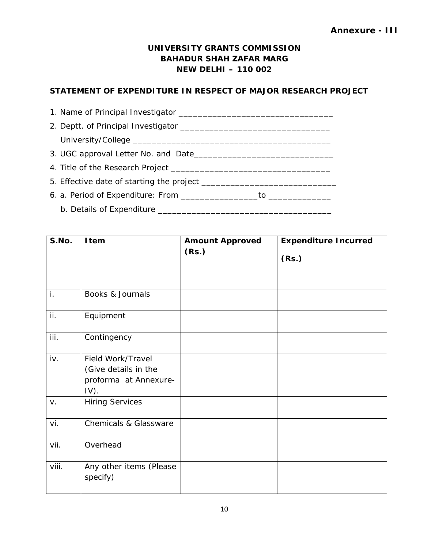## **STATEMENT OF EXPENDITURE IN RESPECT OF MAJOR RESEARCH PROJECT**

| S.No. | Item                                                                          | <b>Amount Approved</b><br>(Rs.) | <b>Expenditure Incurred</b><br>(Rs.) |
|-------|-------------------------------------------------------------------------------|---------------------------------|--------------------------------------|
| i.    | Books & Journals                                                              |                                 |                                      |
| ii.   | Equipment                                                                     |                                 |                                      |
| iii.  | Contingency                                                                   |                                 |                                      |
| iv.   | Field Work/Travel<br>(Give details in the<br>proforma at Annexure-<br>$IV$ ). |                                 |                                      |
| V.    | <b>Hiring Services</b>                                                        |                                 |                                      |
| vi.   | <b>Chemicals &amp; Glassware</b>                                              |                                 |                                      |
| vii.  | Overhead                                                                      |                                 |                                      |
| viii. | Any other items (Please<br>specify)                                           |                                 |                                      |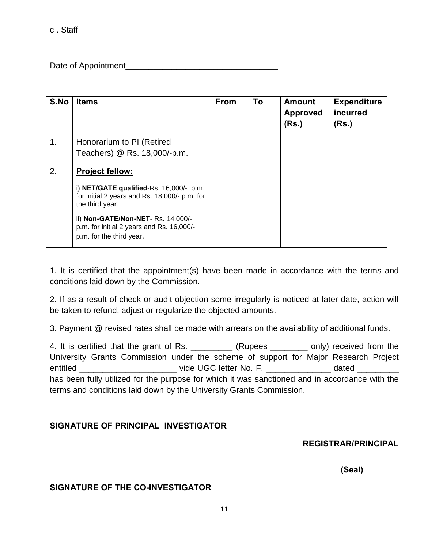c . Staff

Date of Appointment

| S.No | <b>Items</b>                                                                                                | <b>From</b> | To | <b>Amount</b><br><b>Approved</b><br>(Rs.) | <b>Expenditure</b><br>incurred<br>(Rs.) |
|------|-------------------------------------------------------------------------------------------------------------|-------------|----|-------------------------------------------|-----------------------------------------|
| 1.   | Honorarium to PI (Retired                                                                                   |             |    |                                           |                                         |
|      | Teachers) @ Rs. 18,000/-p.m.                                                                                |             |    |                                           |                                         |
| 2.   | <b>Project fellow:</b>                                                                                      |             |    |                                           |                                         |
|      | i) NET/GATE qualified-Rs. 16,000/- p.m.<br>for initial 2 years and Rs. 18,000/- p.m. for<br>the third year. |             |    |                                           |                                         |
|      | ii) Non-GATE/Non-NET- Rs. 14,000/-<br>p.m. for initial 2 years and Rs. 16,000/-<br>p.m. for the third year. |             |    |                                           |                                         |

1. It is certified that the appointment(s) have been made in accordance with the terms and conditions laid down by the Commission.

2. If as a result of check or audit objection some irregularly is noticed at later date, action will be taken to refund, adjust or regularize the objected amounts.

3. Payment @ revised rates shall be made with arrears on the availability of additional funds.

4. It is certified that the grant of Rs. \_\_\_\_\_\_\_\_\_\_ (Rupees \_\_\_\_\_\_\_\_ only) received from the University Grants Commission under the scheme of support for Major Research Project entitled \_\_\_\_\_\_\_\_\_\_\_\_\_\_\_\_\_\_\_\_\_\_\_\_\_\_\_\_\_\_\_ vide UGC letter No. F. \_\_\_\_\_\_\_\_\_\_\_\_\_\_\_\_\_ dated \_\_\_\_\_\_\_\_\_\_\_ has been fully utilized for the purpose for which it was sanctioned and in accordance with the terms and conditions laid down by the University Grants Commission.

## **SIGNATURE OF PRINCIPAL INVESTIGATOR**

## **REGISTRAR/PRINCIPAL**

 **(Seal)**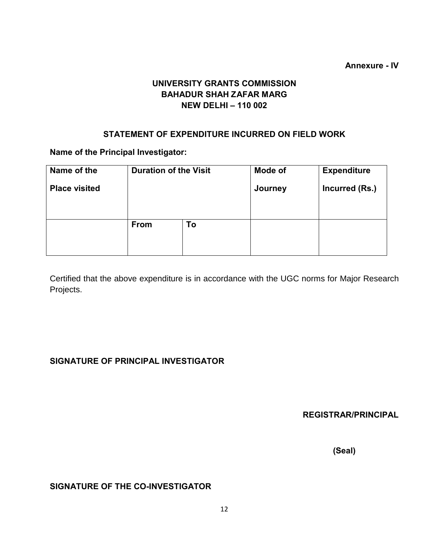## **Annexure - IV**

## **UNIVERSITY GRANTS COMMISSION BAHADUR SHAH ZAFAR MARG NEW DELHI – 110 002**

## **STATEMENT OF EXPENDITURE INCURRED ON FIELD WORK**

**Name of the Principal Investigator:** 

| Name of the          | <b>Duration of the Visit</b> |    | <b>Mode of</b> | <b>Expenditure</b> |  |  |
|----------------------|------------------------------|----|----------------|--------------------|--|--|
| <b>Place visited</b> |                              |    | Journey        | Incurred (Rs.)     |  |  |
|                      |                              |    |                |                    |  |  |
|                      |                              |    |                |                    |  |  |
|                      | From                         | To |                |                    |  |  |
|                      |                              |    |                |                    |  |  |
|                      |                              |    |                |                    |  |  |

Certified that the above expenditure is in accordance with the UGC norms for Major Research Projects.

## **SIGNATURE OF PRINCIPAL INVESTIGATOR**

**REGISTRAR/PRINCIPAL**

 **(Seal)**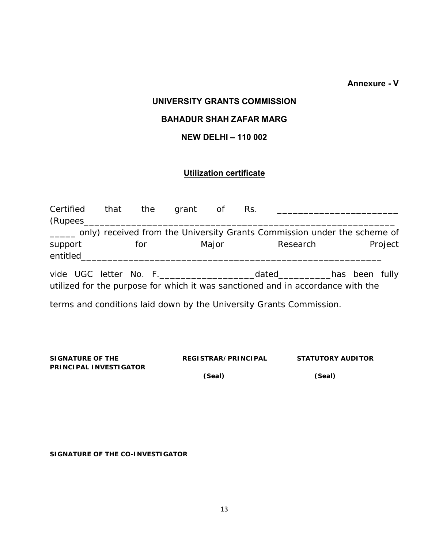**Annexure - V** 

## **UNIVERSITY GRANTS COMMISSION**

## **BAHADUR SHAH ZAFAR MARG**

## **NEW DELHI – 110 002**

## **Utilization certificate**

| Certified that the grant of<br>(Rupees |     |       | Rs. |                                                                                                                  |  |         |
|----------------------------------------|-----|-------|-----|------------------------------------------------------------------------------------------------------------------|--|---------|
|                                        |     |       |     | ____ only) received from the University Grants Commission under the scheme of                                    |  |         |
| support<br>entitled                    | for | Major |     | Research                                                                                                         |  | Project |
|                                        |     |       |     | dated_________has been fully_<br>utilized for the purpose for which it was sanctioned and in accordance with the |  |         |
|                                        |     |       |     | terms and conditions laid down by the University Grants Commission.                                              |  |         |

| SIGNATURE OF THE              | REGISTRAR/PRINCIPAL | <b>STATUTORY AUDITOR</b> |
|-------------------------------|---------------------|--------------------------|
| <b>PRINCIPAL INVESTIGATOR</b> |                     |                          |

 **(Seal) (Seal)**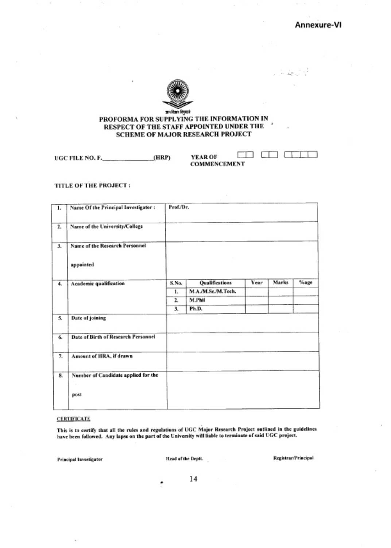Annexure-VI

le Jirê

 $\Box$ -1  $\Box$ 



#### PROFORMA FOR SUPPLYING THE INFORMATION IN RESPECT OF THE STAFF APPOINTED UNDER THE SCHEME OF MAJOR RESEARCH PROJECT

 $(HRP)$ UGC FILE NO. F.

C YEAR OF COMMENCEMENT

## TITLE OF THE PROJECT:

| 1.             | Name Of the Principal Investigator: | Prof./Dr. |                    |      |       |      |
|----------------|-------------------------------------|-----------|--------------------|------|-------|------|
| $\overline{z}$ | Name of the University/College      |           |                    |      |       |      |
| 3.             | Name of the Research Personnel      |           |                    |      |       |      |
|                | appointed                           |           |                    |      |       |      |
| 4.             | Academic qualification              | S.No.     | Qualifications     | Year | Marks | %age |
|                |                                     | 1.        | M.A./M.Sc./M.Tech. |      |       |      |
|                |                                     | 2.        | M.Phil             |      |       |      |
|                |                                     | 3.        | Ph.D.              |      |       |      |
| 5.             | Date of joining                     |           |                    |      |       |      |
| 6.             | Date of Birth of Research Personnel |           |                    |      |       |      |
| 7.             | Amount of HRA, if drawn             |           |                    |      |       |      |
| 8.             | Number of Candidate applied for the |           |                    |      |       |      |
|                | post                                |           |                    |      |       |      |

#### **CERTIFICATE**

This is to certify that all the rules and regulations of UGC Major Research Project outlined in the guidelines have been followed. Any lapse on the part of the University will liable to terminate of said UGC project.

**Principal Investigator** 

Head of the Deptt.

Registrar/Principal

14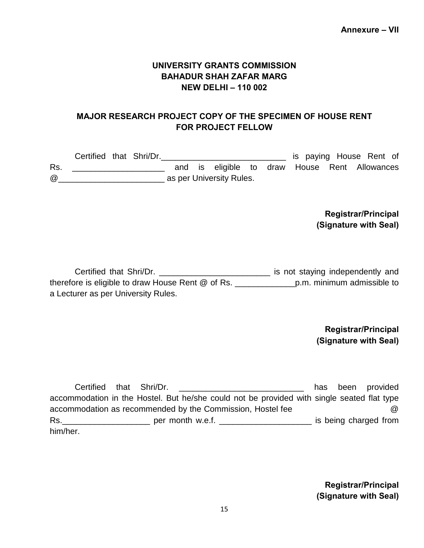## **MAJOR RESEARCH PROJECT COPY OF THE SPECIMEN OF HOUSE RENT FOR PROJECT FELLOW**

|     | Certified that Shri/Dr. |  |  |                          |  |  |  | is paying House Rent of                       |
|-----|-------------------------|--|--|--------------------------|--|--|--|-----------------------------------------------|
| Rs. |                         |  |  |                          |  |  |  | and is eligible to draw House Rent Allowances |
| @   |                         |  |  | as per University Rules. |  |  |  |                                               |

## **Registrar/Principal (Signature with Seal)**

Certified that Shri/Dr. \_\_\_\_\_\_\_\_\_\_\_\_\_\_\_\_\_\_\_\_\_\_\_\_\_\_\_\_\_\_\_\_ is not staying independently and therefore is eligible to draw House Rent @ of Rs. The numerous p.m. minimum admissible to a Lecturer as per University Rules.

## **Registrar/Principal (Signature with Seal)**

Certified that Shri/Dr. \_\_\_\_\_\_\_\_\_\_\_\_\_\_\_\_\_\_\_\_\_\_\_\_\_ has been provided accommodation in the Hostel. But he/she could not be provided with single seated flat type accommodation as recommended by the Commission, Hostel fee @ Rs. The permonth w.e.f. The same permonth w.e.f. The same permonth w.e.f. The same permonth w.e.f. him/her.

> **Registrar/Principal (Signature with Seal)**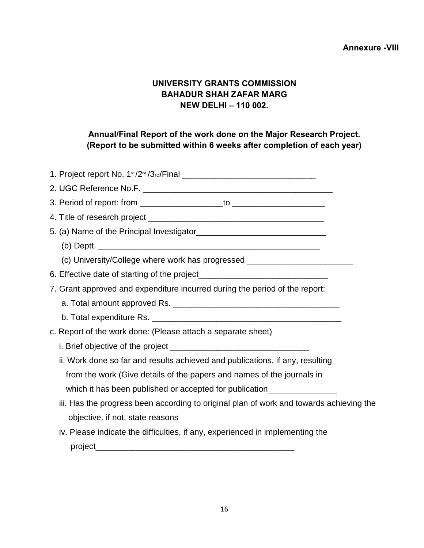## **Annexure -VIII**

## **UNIVERSITY GRANTS COMMISSION BAHADUR SHAH ZAFAR MARG NEW DELHI – 110 002.**

## **Annual/Final Report of the work done on the Major Research Project. (Report to be submitted within 6 weeks after completion of each year)**

| (c) University/College where work has progressed _______________________________        |
|-----------------------------------------------------------------------------------------|
|                                                                                         |
| 7. Grant approved and expenditure incurred during the period of the report:             |
|                                                                                         |
|                                                                                         |
| c. Report of the work done: (Please attach a separate sheet)                            |
|                                                                                         |
| ii. Work done so far and results achieved and publications, if any, resulting           |
| from the work (Give details of the papers and names of the journals in                  |
| which it has been published or accepted for publication_________________________        |
| iii. Has the progress been according to original plan of work and towards achieving the |
| objective. if not, state reasons                                                        |
| iv. Please indicate the difficulties, if any, experienced in implementing the           |
|                                                                                         |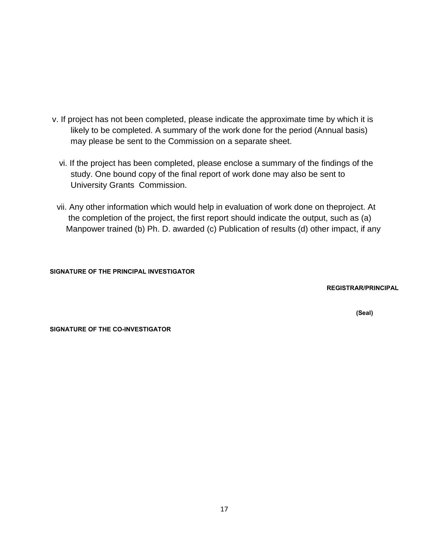- v. If project has not been completed, please indicate the approximate time by which it is likely to be completed. A summary of the work done for the period (Annual basis) may please be sent to the Commission on a separate sheet.
	- vi. If the project has been completed, please enclose a summary of the findings of the study. One bound copy of the final report of work done may also be sent to University Grants Commission.
	- vii. Any other information which would help in evaluation of work done on theproject. At the completion of the project, the first report should indicate the output, such as (a) Manpower trained (b) Ph. D. awarded (c) Publication of results (d) other impact, if any

## **SIGNATURE OF THE PRINCIPAL INVESTIGATOR**

**REGISTRAR/PRINCIPAL**

 **(Seal)**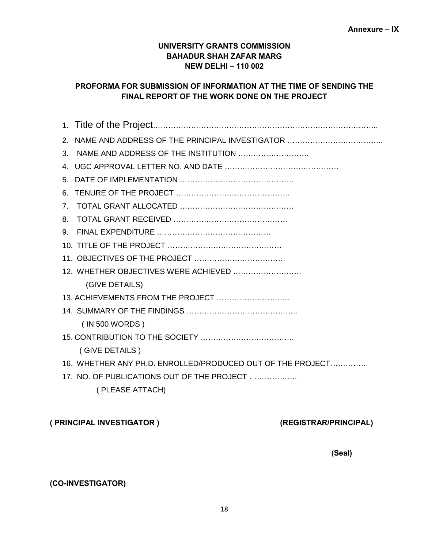## **PROFORMA FOR SUBMISSION OF INFORMATION AT THE TIME OF SENDING THE FINAL REPORT OF THE WORK DONE ON THE PROJECT**

| $2^{\circ}$                                                |
|------------------------------------------------------------|
| NAME AND ADDRESS OF THE INSTITUTION<br>3.                  |
| 4                                                          |
| 5.                                                         |
| 6.                                                         |
| $7_{\scriptscriptstyle{\sim}}$                             |
| 8.                                                         |
| 9.                                                         |
|                                                            |
|                                                            |
| 12. WHETHER OBJECTIVES WERE ACHIEVED                       |
| (GIVE DETAILS)                                             |
| 13. ACHIEVEMENTS FROM THE PROJECT                          |
|                                                            |
| (IN 500 WORDS)                                             |
|                                                            |
| (GIVE DETAILS)                                             |
| 16. WHETHER ANY PH.D. ENROLLED/PRODUCED OUT OF THE PROJECT |
| 17. NO. OF PUBLICATIONS OUT OF THE PROJECT                 |
| (PLEASE ATTACH)                                            |

## **( PRINCIPAL INVESTIGATOR ) (REGISTRAR/PRINCIPAL)**

 **(Seal)**

## **(CO-INVESTIGATOR)**